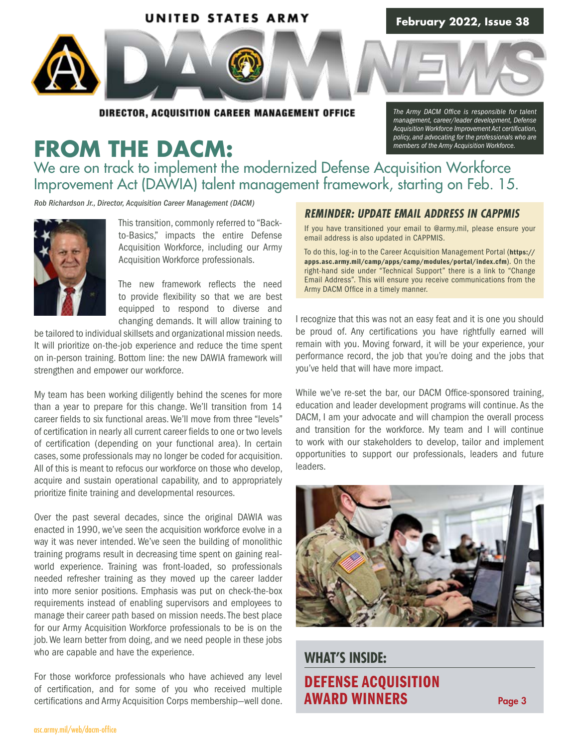

## DIRECTOR, ACQUISITION CAREER MANAGEMENT OFFICE

## **FROM THE DACM:**

*The Army DACM Office is responsible for talent management, career/leader development, Defense Acquisition Workforce Improvement Act certification, policy, and advocating for the professionals who are members of the Army Acquisition Workforce.* 

We are on track to implement the modernized Defense Acquisition Workforce Improvement Act (DAWIA) talent management framework, starting on Feb. 15.

*Rob Richardson Jr., Director, Acquisition Career Management (DACM)*



This transition, commonly referred to "Backto-Basics," impacts the entire Defense Acquisition Workforce, including our Army Acquisition Workforce professionals.

The new framework reflects the need to provide flexibility so that we are best equipped to respond to diverse and changing demands. It will allow training to

be tailored to individual skillsets and organizational mission needs. It will prioritize on-the-job experience and reduce the time spent on in-person training. Bottom line: the new DAWIA framework will strengthen and empower our workforce.

My team has been working diligently behind the scenes for more than a year to prepare for this change. We'll transition from 14 career fields to six functional areas. We'll move from three "levels" of certification in nearly all current career fields to one or two levels of certification (depending on your functional area). In certain cases, some professionals may no longer be coded for acquisition. All of this is meant to refocus our workforce on those who develop, acquire and sustain operational capability, and to appropriately prioritize finite training and developmental resources.

Over the past several decades, since the original DAWIA was enacted in 1990, we've seen the acquisition workforce evolve in a way it was never intended. We've seen the building of monolithic training programs result in decreasing time spent on gaining realworld experience. Training was front-loaded, so professionals needed refresher training as they moved up the career ladder into more senior positions. Emphasis was put on check-the-box requirements instead of enabling supervisors and employees to manage their career path based on mission needs. The best place for our Army Acquisition Workforce professionals to be is on the job. We learn better from doing, and we need people in these jobs who are capable and have the experience.

For those workforce professionals who have achieved any level of certification, and for some of you who received multiple certifications and Army Acquisition Corps membership—well done.

## *REMINDER: UPDATE EMAIL ADDRESS IN CAPPMIS*

If you have transitioned your email to @army.mil, please ensure your email address is also updated in CAPPMIS.

To do this, log-in to the Career Acquisition Management Portal (https:// apps.asc.army.mil/camp/apps/camp/modules/portal/index.cfm). On the right-hand side under "Technical Support" there is a link to "Change Email Address". This will ensure you receive communications from the Army DACM Office in a timely manner.

I recognize that this was not an easy feat and it is one you should be proud of. Any certifications you have rightfully earned will remain with you. Moving forward, it will be your experience, your performance record, the job that you're doing and the jobs that you've held that will have more impact.

While we've re-set the bar, our DACM Office-sponsored training, education and leader development programs will continue. As the DACM, I am your advocate and will champion the overall process and transition for the workforce. My team and I will continue to work with our stakeholders to develop, tailor and implement opportunities to support our professionals, leaders and future leaders.



# **WHAT'S INSIDE:**

DEFENSE ACQUISITION AWARD WINNERS Page 3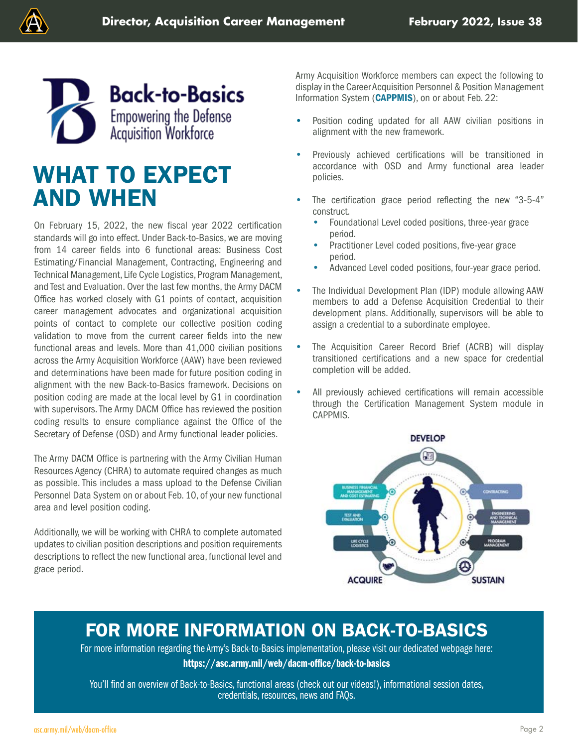



**Back-to-Basics** Empowering the Defense<br>Acquisition Workforce

## WHAT TO EXPECT AND WHEN

On February 15, 2022, the new fiscal year 2022 certification standards will go into effect. Under Back-to-Basics, we are moving from 14 career fields into 6 functional areas: Business Cost Estimating/Financial Management, Contracting, Engineering and Technical Management, Life Cycle Logistics, Program Management, and Test and Evaluation. Over the last few months, the Army DACM Office has worked closely with G1 points of contact, acquisition career management advocates and organizational acquisition points of contact to complete our collective position coding validation to move from the current career fields into the new functional areas and levels. More than 41,000 civilian positions across the Army Acquisition Workforce (AAW) have been reviewed and determinations have been made for future position coding in alignment with the new Back-to-Basics framework. Decisions on position coding are made at the local level by G1 in coordination with supervisors. The Army DACM Office has reviewed the position coding results to ensure compliance against the Office of the Secretary of Defense (OSD) and Army functional leader policies.

The Army DACM Office is partnering with the Army Civilian Human Resources Agency (CHRA) to automate required changes as much as possible. This includes a mass upload to the Defense Civilian Personnel Data System on or about Feb. 10, of your new functional area and level position coding.

Additionally, we will be working with CHRA to complete automated updates to civilian position descriptions and position requirements descriptions to reflect the new functional area, functional level and grace period.

Army Acquisition Workforce members can expect the following to display in the Career Acquisition Personnel & Position Management Information System (CAPPMIS), on or about Feb. 22:

- Position coding updated for all AAW civilian positions in alignment with the new framework.
- Previously achieved certifications will be transitioned in accordance with OSD and Army functional area leader policies.
- The certification grace period reflecting the new "3-5-4" construct.
	- Foundational Level coded positions, three-year grace period.
	- Practitioner Level coded positions, five-year grace period.
	- Advanced Level coded positions, four-year grace period.
- The Individual Development Plan (IDP) module allowing AAW members to add a Defense Acquisition Credential to their development plans. Additionally, supervisors will be able to assign a credential to a subordinate employee.
- The Acquisition Career Record Brief (ACRB) will display transitioned certifications and a new space for credential completion will be added.
- All previously achieved certifications will remain accessible through the Certification Management System module in CAPPMIS.



## FOR MORE INFORMATION ON BACK-TO-BASICS

For more information regarding the Army's Back-to-Basics implementation, please visit our dedicated webpage here: https://asc.army.mil/web/dacm-office/back-to-basics

You'll find an overview of Back-to-Basics, functional areas (check out our videos!), informational session dates, credentials, resources, news and FAQs.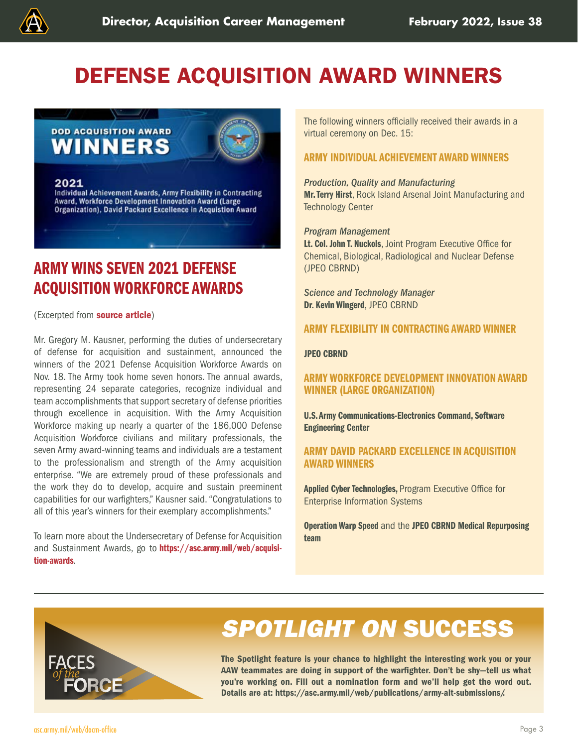

## DEFENSE ACQUISITION AWARD WINNERS

# DOD ACQUISITION AWARD

#### 2021

Individual Achievement Awards, Army Flexibility in Contracting Award, Workforce Development Innovation Award (Large Organization), David Packard Excellence in Acquistion Award

## ARMY WINS SEVEN 2021 DEFENSE ACQUISITION WORKFORCE AWARDS

#### (Excerpted from source article)

Mr. Gregory M. Kausner, performing the duties of undersecretary of defense for acquisition and sustainment, announced the winners of the 2021 Defense Acquisition Workforce Awards on Nov. 18. The Army took home seven honors. The annual awards, representing 24 separate categories, recognize individual and team accomplishments that support secretary of defense priorities through excellence in acquisition. With the Army Acquisition Workforce making up nearly a quarter of the 186,000 Defense Acquisition Workforce civilians and military professionals, the seven Army award-winning teams and individuals are a testament to the professionalism and strength of the Army acquisition enterprise. "We are extremely proud of these professionals and the work they do to develop, acquire and sustain preeminent capabilities for our warfighters," Kausner said. "Congratulations to all of this year's winners for their exemplary accomplishments."

To learn more about the Undersecretary of Defense for Acquisition and Sustainment Awards, go to https://asc.army.mil/web/acquisition-awards.

The following winners officially received their awards in a virtual ceremony on Dec. 15:

## ARMY INDIVIDUAL ACHIEVEMENT AWARD WINNERS

*Production, Quality and Manufacturing*  Mr. Terry Hirst, Rock Island Arsenal Joint Manufacturing and Technology Center

#### *Program Management*

Lt. Col. John T. Nuckols, Joint Program Executive Office for Chemical, Biological, Radiological and Nuclear Defense (JPEO CBRND)

*Science and Technology Manager*  Dr. Kevin Wingerd, JPEO CBRND

## ARMY FLEXIBILITY IN CONTRACTING AWARD WINNER

#### JPEO CBRND

## ARMY WORKFORCE DEVELOPMENT INNOVATION AWARD WINNER (LARGE ORGANIZATION)

## U.S. Army Communications-Electronics Command, Software Engineering Center

## ARMY DAVID PACKARD EXCELLENCE IN ACQUISITION AWARD WINNERS

Applied Cyber Technologies, Program Executive Office for Enterprise Information Systems

Operation Warp Speed and the JPEO CBRND Medical Repurposing team



## SPOTLIGHT ON SUCCESS

The Spotlight feature is your chance to highlight the interesting work you or your AAW teammates are doing in support of the warfighter. Don't be shy—tell us what you're working on. Fill out a nomination form and we'll help get the word out. Details are at: https://asc.army.mil/web/publications/army-alt-submissions/.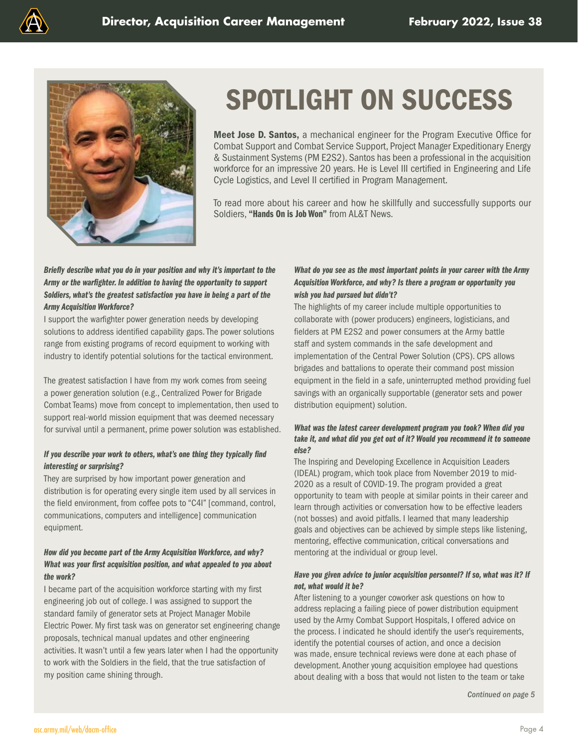



## SPOTLIGHT ON SUCCESS

Meet Jose D. Santos, a mechanical engineer for the Program Executive Office for Combat Support and Combat Service Support, Project Manager Expeditionary Energy & Sustainment Systems (PM E2S2). Santos has been a professional in the acquisition workforce for an impressive 20 years. He is Level III certified in Engineering and Life Cycle Logistics, and Level II certified in Program Management.

To read more about his career and how he skillfully and successfully supports our Soldiers, "Hands On is Job Won" from AL&T News.

## *Briefly describe what you do in your position and why it's important to the Army or the warfighter. In addition to having the opportunity to support Soldiers, what's the greatest satisfaction you have in being a part of the Army Acquisition Workforce?*

I support the warfighter power generation needs by developing solutions to address identified capability gaps. The power solutions range from existing programs of record equipment to working with industry to identify potential solutions for the tactical environment.

The greatest satisfaction I have from my work comes from seeing a power generation solution (e.g., Centralized Power for Brigade Combat Teams) move from concept to implementation, then used to support real-world mission equipment that was deemed necessary for survival until a permanent, prime power solution was established.

## *If you describe your work to others, what's one thing they typically find interesting or surprising?*

They are surprised by how important power generation and distribution is for operating every single item used by all services in the field environment, from coffee pots to "C4I" [command, control, communications, computers and intelligence] communication equipment.

## *How did you become part of the Army Acquisition Workforce, and why? What was your first acquisition position, and what appealed to you about the work?*

I became part of the acquisition workforce starting with my first engineering job out of college. I was assigned to support the standard family of generator sets at Project Manager Mobile Electric Power. My first task was on generator set engineering change proposals, technical manual updates and other engineering activities. It wasn't until a few years later when I had the opportunity to work with the Soldiers in the field, that the true satisfaction of my position came shining through.

## *What do you see as the most important points in your career with the Army Acquisition Workforce, and why? Is there a program or opportunity you wish you had pursued but didn't?*

The highlights of my career include multiple opportunities to collaborate with (power producers) engineers, logisticians, and fielders at PM E2S2 and power consumers at the Army battle staff and system commands in the safe development and implementation of the Central Power Solution (CPS). CPS allows brigades and battalions to operate their command post mission equipment in the field in a safe, uninterrupted method providing fuel savings with an organically supportable (generator sets and power distribution equipment) solution.

#### *What was the latest career development program you took? When did you take it, and what did you get out of it? Would you recommend it to someone else?*

The Inspiring and Developing Excellence in Acquisition Leaders (IDEAL) program, which took place from November 2019 to mid-2020 as a result of COVID-19. The program provided a great opportunity to team with people at similar points in their career and learn through activities or conversation how to be effective leaders (not bosses) and avoid pitfalls. I learned that many leadership goals and objectives can be achieved by simple steps like listening, mentoring, effective communication, critical conversations and mentoring at the individual or group level.

#### *Have you given advice to junior acquisition personnel? If so, what was it? If not, what would it be?*

After listening to a younger coworker ask questions on how to address replacing a failing piece of power distribution equipment used by the Army Combat Support Hospitals, I offered advice on the process. I indicated he should identify the user's requirements, identify the potential courses of action, and once a decision was made, ensure technical reviews were done at each phase of development. Another young acquisition employee had questions about dealing with a boss that would not listen to the team or take

*Continued on page 5*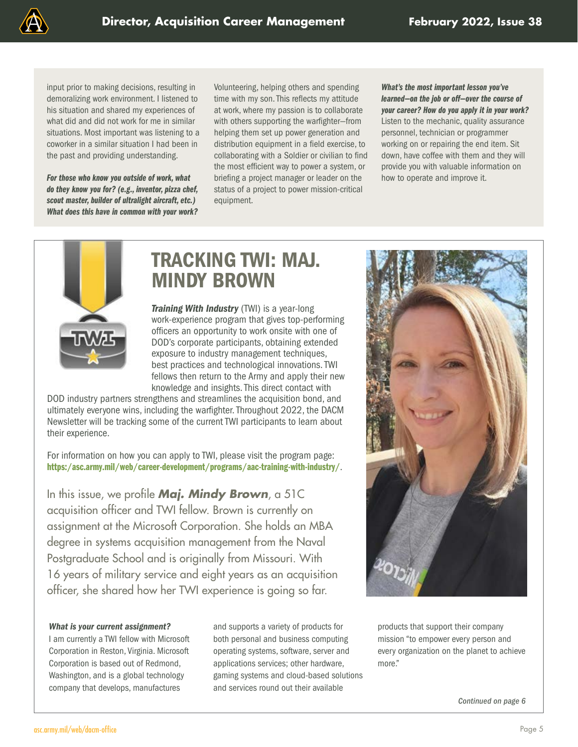

input prior to making decisions, resulting in demoralizing work environment. I listened to his situation and shared my experiences of what did and did not work for me in similar situations. Most important was listening to a coworker in a similar situation I had been in the past and providing understanding.

*For those who know you outside of work, what do they know you for? (e.g., inventor, pizza chef, scout master, builder of ultralight aircraft, etc.) What does this have in common with your work?* Volunteering, helping others and spending time with my son. This reflects my attitude at work, where my passion is to collaborate with others supporting the warfighter—from helping them set up power generation and distribution equipment in a field exercise, to collaborating with a Soldier or civilian to find the most efficient way to power a system, or briefing a project manager or leader on the status of a project to power mission-critical equipment.

*What's the most important lesson you've learned—on the job or off—over the course of your career? How do you apply it in your work?* Listen to the mechanic, quality assurance personnel, technician or programmer working on or repairing the end item. Sit down, have coffee with them and they will provide you with valuable information on how to operate and improve it.



## TRACKING TWI: MAJ. MINDY BROWN

*Training With Industry* (TWI) is a year-long work-experience program that gives top-performing officers an opportunity to work onsite with one of DOD's corporate participants, obtaining extended exposure to industry management techniques, best practices and technological innovations. TWI fellows then return to the Army and apply their new knowledge and insights. This direct contact with

DOD industry partners strengthens and streamlines the acquisition bond, and ultimately everyone wins, including the warfighter. Throughout 2022, the DACM Newsletter will be tracking some of the current TWI participants to learn about their experience.

For information on how you can apply to TWI, please visit the program page: https:/asc.army.mil/web/career-development/programs/aac-training-with-industry/.

In this issue, we profile *Maj. Mindy Brown*, a 51C acquisition officer and TWI fellow. Brown is currently on assignment at the Microsoft Corporation. She holds an MBA degree in systems acquisition management from the Naval Postgraduate School and is originally from Missouri. With 16 years of military service and eight years as an acquisition officer, she shared how her TWI experience is going so far.

#### *What is your current assignment?*

I am currently a TWI fellow with Microsoft Corporation in Reston, Virginia. Microsoft Corporation is based out of Redmond, Washington, and is a global technology company that develops, manufactures

and supports a variety of products for both personal and business computing operating systems, software, server and applications services; other hardware, gaming systems and cloud-based solutions and services round out their available



products that support their company mission "to empower every person and every organization on the planet to achieve more."

*Continued on page 6*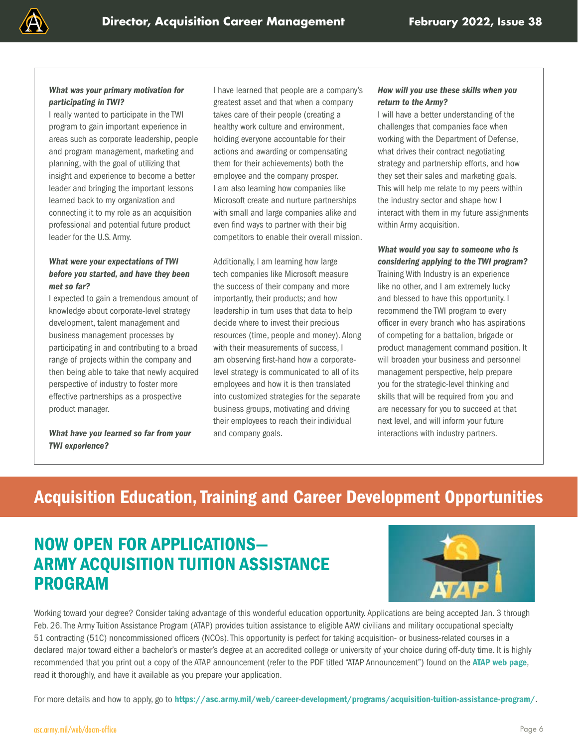

I really wanted to participate in the TWI program to gain important experience in areas such as corporate leadership, people and program management, marketing and planning, with the goal of utilizing that insight and experience to become a better leader and bringing the important lessons learned back to my organization and connecting it to my role as an acquisition professional and potential future product leader for the U.S. Army.

## *What were your expectations of TWI before you started, and have they been met so far?*

I expected to gain a tremendous amount of knowledge about corporate-level strategy development, talent management and business management processes by participating in and contributing to a broad range of projects within the company and then being able to take that newly acquired perspective of industry to foster more effective partnerships as a prospective product manager.

*What have you learned so far from your TWI experience?*

I have learned that people are a company's greatest asset and that when a company takes care of their people (creating a healthy work culture and environment, holding everyone accountable for their actions and awarding or compensating them for their achievements) both the employee and the company prosper. I am also learning how companies like Microsoft create and nurture partnerships with small and large companies alike and even find ways to partner with their big competitors to enable their overall mission.

Additionally, I am learning how large tech companies like Microsoft measure the success of their company and more importantly, their products; and how leadership in turn uses that data to help decide where to invest their precious resources (time, people and money). Along with their measurements of success, I am observing first-hand how a corporatelevel strategy is communicated to all of its employees and how it is then translated into customized strategies for the separate business groups, motivating and driving their employees to reach their individual and company goals.

## *How will you use these skills when you return to the Army?*

I will have a better understanding of the challenges that companies face when working with the Department of Defense, what drives their contract negotiating strategy and partnership efforts, and how they set their sales and marketing goals. This will help me relate to my peers within the industry sector and shape how I interact with them in my future assignments within Army acquisition.

#### *What would you say to someone who is considering applying to the TWI program?*

Training With Industry is an experience like no other, and I am extremely lucky and blessed to have this opportunity. I recommend the TWI program to every officer in every branch who has aspirations of competing for a battalion, brigade or product management command position. It will broaden your business and personnel management perspective, help prepare you for the strategic-level thinking and skills that will be required from you and are necessary for you to succeed at that next level, and will inform your future interactions with industry partners.

## Acquisition Education, Training and Career Development Opportunities

## NOW OPEN FOR APPLICATIONS— ARMY ACQUISITION TUITION ASSISTANCE PROGRAM



Working toward your degree? Consider taking advantage of this wonderful education opportunity. Applications are being accepted Jan. 3 through Feb. 26. The Army Tuition Assistance Program (ATAP) provides tuition assistance to eligible AAW civilians and military occupational specialty 51 contracting (51C) noncommissioned officers (NCOs). This opportunity is perfect for taking acquisition- or business-related courses in a declared major toward either a bachelor's or master's degree at an accredited college or university of your choice during off-duty time. It is highly recommended that you print out a copy of the ATAP announcement (refer to the PDF titled "ATAP Announcement") found on the ATAP web page, read it thoroughly, and have it available as you prepare your application.

For more details and how to apply, go to https://asc.army.mil/web/career-development/programs/acquisition-tuition-assistance-program/.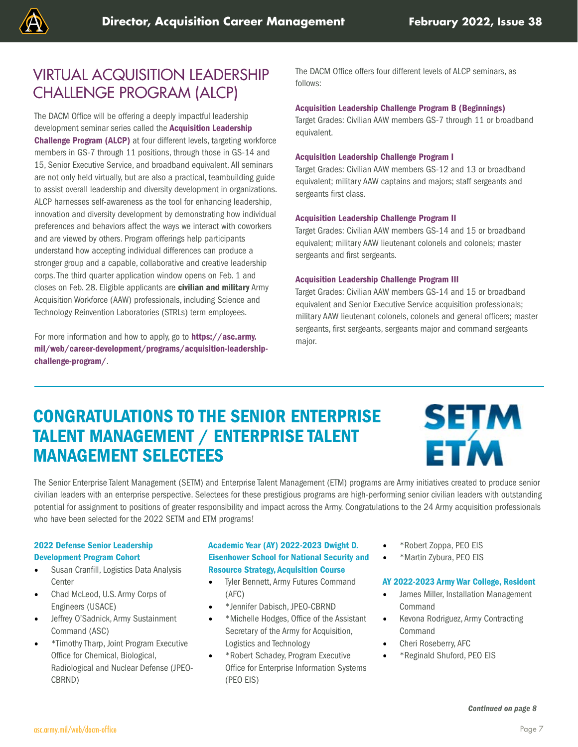## VIRTUAL ACQUISITION LEADERSHIP CHALLENGE PROGRAM (ALCP)

The DACM Office will be offering a deeply impactful leadership development seminar series called the Acquisition Leadership Challenge Program (ALCP) at four different levels, targeting workforce members in GS-7 through 11 positions, through those in GS-14 and 15, Senior Executive Service, and broadband equivalent. All seminars are not only held virtually, but are also a practical, teambuilding guide to assist overall leadership and diversity development in organizations. ALCP harnesses self-awareness as the tool for enhancing leadership, innovation and diversity development by demonstrating how individual preferences and behaviors affect the ways we interact with coworkers and are viewed by others. Program offerings help participants understand how accepting individual differences can produce a stronger group and a capable, collaborative and creative leadership corps. The third quarter application window opens on Feb. 1 and closes on Feb. 28. Eligible applicants are civilian and military Army Acquisition Workforce (AAW) professionals, including Science and Technology Reinvention Laboratories (STRLs) term employees.

For more information and how to apply, go to https://asc.army. mil/web/career-development/programs/acquisition-leadershipchallenge-program/.

The DACM Office offers four different levels of ALCP seminars, as follows:

#### Acquisition Leadership Challenge Program B (Beginnings)

Target Grades: Civilian AAW members GS-7 through 11 or broadband equivalent.

#### Acquisition Leadership Challenge Program I

Target Grades: Civilian AAW members GS-12 and 13 or broadband equivalent; military AAW captains and majors; staff sergeants and sergeants first class.

#### Acquisition Leadership Challenge Program II

Target Grades: Civilian AAW members GS-14 and 15 or broadband equivalent; military AAW lieutenant colonels and colonels; master sergeants and first sergeants.

#### Acquisition Leadership Challenge Program III

Target Grades: Civilian AAW members GS-14 and 15 or broadband equivalent and Senior Executive Service acquisition professionals; military AAW lieutenant colonels, colonels and general officers; master sergeants, first sergeants, sergeants major and command sergeants major.

## CONGRATULATIONS TO THE SENIOR ENTERPRISE TALENT MANAGEMENT / ENTERPRISE TALENT MANAGEMENT SELECTEES

# **SETM**

The Senior Enterprise Talent Management (SETM) and Enterprise Talent Management (ETM) programs are Army initiatives created to produce senior civilian leaders with an enterprise perspective. Selectees for these prestigious programs are high-performing senior civilian leaders with outstanding potential for assignment to positions of greater responsibility and impact across the Army. Congratulations to the 24 Army acquisition professionals who have been selected for the 2022 SETM and ETM programs!

## 2022 Defense Senior Leadership Development Program Cohort

- Susan Cranfill, Logistics Data Analysis Center
- Chad McLeod, U.S. Army Corps of Engineers (USACE)
- Jeffrey O'Sadnick, Army Sustainment Command (ASC)
- \*Timothy Tharp, Joint Program Executive Office for Chemical, Biological, Radiological and Nuclear Defense (JPEO-CBRND)

## Academic Year (AY) 2022-2023 Dwight D. Eisenhower School for National Security and Resource Strategy, Acquisition Course

- Tyler Bennett, Army Futures Command (AFC)
- \*Jennifer Dabisch, JPEO-CBRND
- \*Michelle Hodges, Office of the Assistant Secretary of the Army for Acquisition, Logistics and Technology
- \*Robert Schadey, Program Executive Office for Enterprise Information Systems (PEO EIS)
- \*Robert Zoppa, PEO EIS
- \*Martin Zybura, PEO EIS

#### AY 2022-2023 Army War College, Resident

- James Miller, Installation Management Command
- Kevona Rodriguez, Army Contracting Command
- Cheri Roseberry, AFC
- \*Reginald Shuford, PEO EIS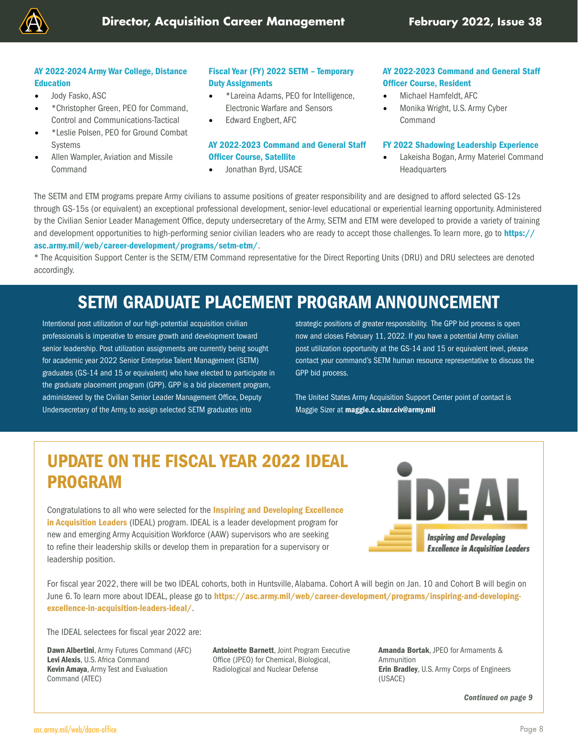

#### AY 2022-2024 Army War College, Distance Education

- Jody Fasko, ASC
- \*Christopher Green, PEO for Command, Control and Communications-Tactical
- \*Leslie Polsen, PEO for Ground Combat Systems
- Allen Wampler, Aviation and Missile Command

## Fiscal Year (FY) 2022 SETM – Temporary Duty Assignments

- \*Lareina Adams, PEO for Intelligence, Electronic Warfare and Sensors
- Edward Engbert, AFC

## AY 2022-2023 Command and General Staff Officer Course, Satellite

• Jonathan Byrd, USACE

## AY 2022-2023 Command and General Staff Officer Course, Resident

- Michael Hamfeldt, AFC
- Monika Wright, U.S. Army Cyber Command

#### FY 2022 Shadowing Leadership Experience

• Lakeisha Bogan, Army Materiel Command **Headquarters** 

The SETM and ETM programs prepare Army civilians to assume positions of greater responsibility and are designed to afford selected GS-12s through GS-15s (or equivalent) an exceptional professional development, senior-level educational or experiential learning opportunity. Administered by the Civilian Senior Leader Management Office, deputy undersecretary of the Army, SETM and ETM were developed to provide a variety of training and development opportunities to high-performing senior civilian leaders who are ready to accept those challenges. To learn more, go to https:// asc.army.mil/web/career-development/programs/setm-etm/.

\* The Acquisition Support Center is the SETM/ETM Command representative for the Direct Reporting Units (DRU) and DRU selectees are denoted accordingly.

## SETM GRADUATE PLACEMENT PROGRAM ANNOUNCEMENT

Intentional post utilization of our high-potential acquisition civilian professionals is imperative to ensure growth and development toward senior leadership. Post utilization assignments are currently being sought for academic year 2022 Senior Enterprise Talent Management (SETM) graduates (GS-14 and 15 or equivalent) who have elected to participate in the graduate placement program (GPP). GPP is a bid placement program, administered by the Civilian Senior Leader Management Office, Deputy Undersecretary of the Army, to assign selected SETM graduates into

strategic positions of greater responsibility. The GPP bid process is open now and closes February 11, 2022. If you have a potential Army civilian post utilization opportunity at the GS-14 and 15 or equivalent level, please contact your command's SETM human resource representative to discuss the GPP bid process.

The United States Army Acquisition Support Center point of contact is Maggie Sizer at maggie.c.sizer.civ@army.mil

## UPDATE ON THE FISCAL YEAR 2022 IDEAL PROGRAM

Congratulations to all who were selected for the Inspiring and Developing Excellence in Acquisition Leaders (IDEAL) program. IDEAL is a leader development program for new and emerging Army Acquisition Workforce (AAW) supervisors who are seeking to refine their leadership skills or develop them in preparation for a supervisory or leadership position.



For fiscal year 2022, there will be two IDEAL cohorts, both in Huntsville, Alabama. Cohort A will begin on Jan. 10 and Cohort B will begin on June 6. To learn more about IDEAL, please go to https://asc.army.mil/web/career-development/programs/inspiring-and-developingexcellence-in-acquisition-leaders-ideal/.

The IDEAL selectees for fiscal year 2022 are:

Dawn Albertini, Army Futures Command (AFC) Levi Alexis, U.S. Africa Command **Kevin Amaya, Army Test and Evaluation** Command (ATEC)

Antoinette Barnett, Joint Program Executive Office (JPEO) for Chemical, Biological, Radiological and Nuclear Defense

Amanda Bortak, JPEO for Armaments & Ammunition Erin Bradley, U.S. Army Corps of Engineers (USACE)

*Continued on page 9*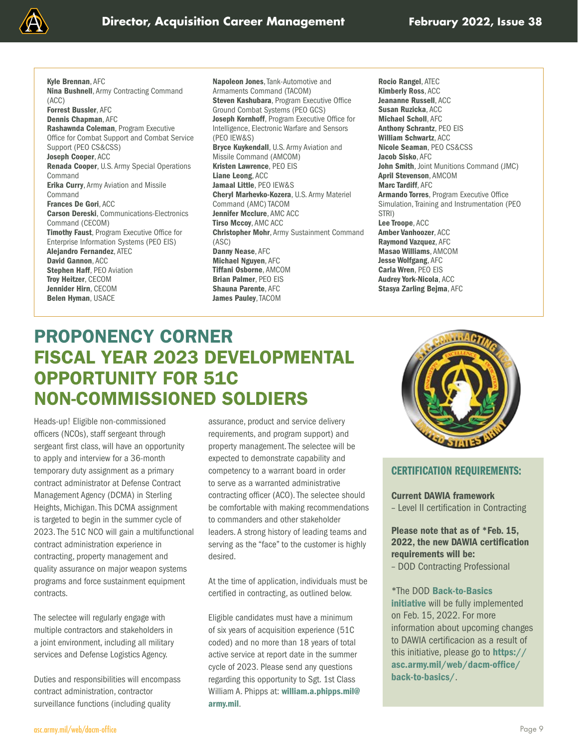

Kyle Brennan, AFC Nina Bushnell, Army Contracting Command (ACC) Forrest Bussler, AFC Dennis Chapman, AFC Rashawnda Coleman, Program Executive Office for Combat Support and Combat Service Support (PEO CS&CSS) Joseph Cooper, ACC Renada Cooper, U.S. Army Special Operations Command **Erika Curry, Army Aviation and Missile** Command Frances De Gori, ACC Carson Dereski, Communications-Electronics Command (CECOM) Timothy Faust, Program Executive Office for Enterprise Information Systems (PEO EIS) Alejandro Fernandez, ATEC David Gannon, ACC Stephen Haff, PEO Aviation Troy Heitzer, CECOM Jennider Hirn, CECOM Belen Hyman, USACE

Napoleon Jones, Tank-Automotive and Armaments Command (TACOM) **Steven Kashubara, Program Executive Office** Ground Combat Systems (PEO GCS) Joseph Kornhoff, Program Executive Office for Intelligence, Electronic Warfare and Sensors (PEO IEW&S) Bryce Kuykendall, U.S. Army Aviation and Missile Command (AMCOM) Kristen Lawrence, PEO EIS Liane Leong, ACC Jamaal Little, PEO IEW&S Cheryl Marhevko-Kozera, U.S. Army Materiel Command (AMC) TACOM Jennifer Mcclure, AMC ACC Tirso Mccoy, AMC ACC Christopher Mohr, Army Sustainment Command (ASC) Danny Nease, AFC Michael Nguyen, AFC Tiffani Osborne, AMCOM Brian Palmer, PEO EIS Shauna Parente, AFC James Pauley, TACOM

Rocio Rangel, ATEC Kimberly Ross, ACC Jeananne Russell, ACC Susan Ruzicka, ACC Michael Scholl, AFC Anthony Schrantz, PEO EIS William Schwartz, ACC Nicole Seaman, PEO CS&CSS Jacob Sisko, AFC John Smith, Joint Munitions Command (JMC) April Stevenson, AMCOM Marc Tardiff, AFC Armando Torres, Program Executive Office Simulation, Training and Instrumentation (PEO STRI) Lee Troope, ACC Amber Vanhoozer, ACC Raymond Vazquez, AFC Masao Williams, AMCOM Jesse Wolfgang, AFC Carla Wren, PEO EIS Audrey York-Nicola, ACC Stasya Zarling Bejma, AFC

## PROPONENCY CORNER FISCAL YEAR 2023 DEVELOPMENTAL OPPORTUNITY FOR 51C NON-COMMISSIONED SOLDIERS

Heads-up! Eligible non-commissioned officers (NCOs), staff sergeant through sergeant first class, will have an opportunity to apply and interview for a 36-month temporary duty assignment as a primary contract administrator at Defense Contract Management Agency (DCMA) in Sterling Heights, Michigan. This DCMA assignment is targeted to begin in the summer cycle of 2023. The 51C NCO will gain a multifunctional contract administration experience in contracting, property management and quality assurance on major weapon systems programs and force sustainment equipment contracts.

The selectee will regularly engage with multiple contractors and stakeholders in a joint environment, including all military services and Defense Logistics Agency.

Duties and responsibilities will encompass contract administration, contractor surveillance functions (including quality

assurance, product and service delivery requirements, and program support) and property management. The selectee will be expected to demonstrate capability and competency to a warrant board in order to serve as a warranted administrative contracting officer (ACO). The selectee should be comfortable with making recommendations to commanders and other stakeholder leaders. A strong history of leading teams and serving as the "face" to the customer is highly desired.

At the time of application, individuals must be certified in contracting, as outlined below.

Eligible candidates must have a minimum of six years of acquisition experience (51C coded) and no more than 18 years of total active service at report date in the summer cycle of 2023. Please send any questions regarding this opportunity to Sgt. 1st Class William A. Phipps at: william.a.phipps.mil@ army.mil.



## CERTIFICATION REQUIREMENTS:

Current DAWIA framework

– Level II certification in Contracting

Please note that as of \*Feb. 15, 2022, the new DAWIA certification requirements will be:

– DOD Contracting Professional

#### \*The DOD Back-to-Basics

initiative will be fully implemented on Feb. 15, 2022. For more information about upcoming changes to DAWIA certificacion as a result of this initiative, please go to https:// asc.army.mil/web/dacm-office/ back-to-basics/.